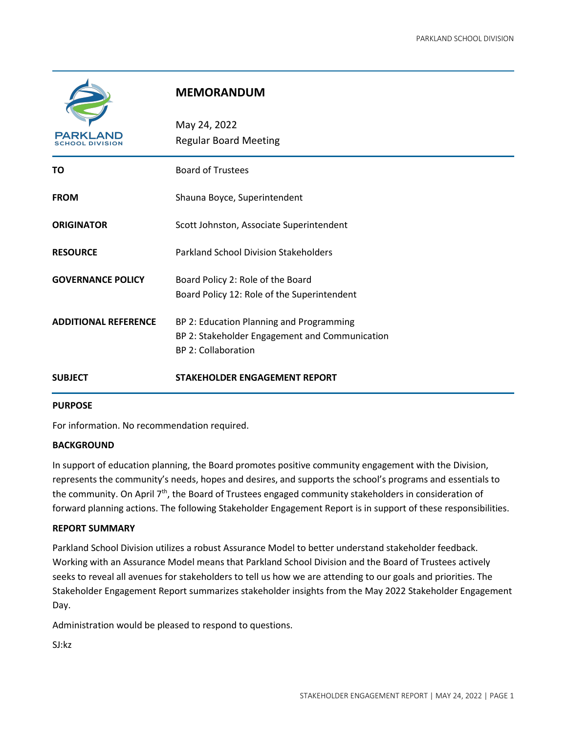

# **MEMORANDUM**

| <b>PARKI</b>                | May 24, 2022<br><b>Regular Board Meeting</b>                                                                             |
|-----------------------------|--------------------------------------------------------------------------------------------------------------------------|
| ΤO                          | <b>Board of Trustees</b>                                                                                                 |
| <b>FROM</b>                 | Shauna Boyce, Superintendent                                                                                             |
| <b>ORIGINATOR</b>           | Scott Johnston, Associate Superintendent                                                                                 |
| <b>RESOURCE</b>             | <b>Parkland School Division Stakeholders</b>                                                                             |
| <b>GOVERNANCE POLICY</b>    | Board Policy 2: Role of the Board<br>Board Policy 12: Role of the Superintendent                                         |
| <b>ADDITIONAL REFERENCE</b> | BP 2: Education Planning and Programming<br>BP 2: Stakeholder Engagement and Communication<br><b>BP 2: Collaboration</b> |
| <b>SUBJECT</b>              | <b>STAKEHOLDER ENGAGEMENT REPORT</b>                                                                                     |

#### **PURPOSE**

For information. No recommendation required.

#### **BACKGROUND**

In support of education planning, the Board promotes positive community engagement with the Division, represents the community's needs, hopes and desires, and supports the school's programs and essentials to the community. On April  $7<sup>th</sup>$ , the Board of Trustees engaged community stakeholders in consideration of forward planning actions. The following Stakeholder Engagement Report is in support of these responsibilities.

#### **REPORT SUMMARY**

Parkland School Division utilizes a robust Assurance Model to better understand stakeholder feedback. Working with an Assurance Model means that Parkland School Division and the Board of Trustees actively seeks to reveal all avenues for stakeholders to tell us how we are attending to our goals and priorities. The Stakeholder Engagement Report summarizes stakeholder insights from the May 2022 Stakeholder Engagement Day.

Administration would be pleased to respond to questions.

SJ:kz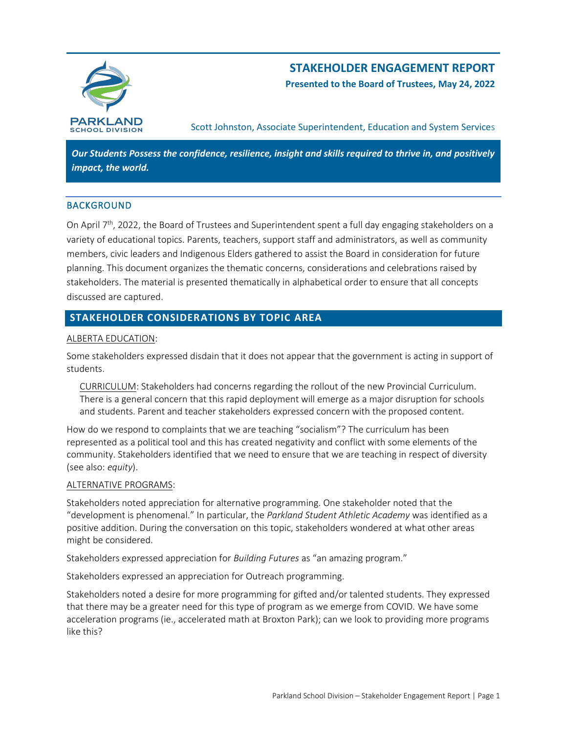

# **STAKEHOLDER ENGAGEMENT REPORT**

**Presented to the Board of Trustees, May 24, 2022**

Scott Johnston, Associate Superintendent, Education and System Services

*Our Students Possess the confidence, resilience, insight and skills required to thrive in, and positively impact, the world.*

### BACKGROUND

On April 7<sup>th</sup>, 2022, the Board of Trustees and Superintendent spent a full day engaging stakeholders on a variety of educational topics. Parents, teachers, support staff and administrators, as well as community members, civic leaders and Indigenous Elders gathered to assist the Board in consideration for future planning. This document organizes the thematic concerns, considerations and celebrations raised by stakeholders. The material is presented thematically in alphabetical order to ensure that all concepts discussed are captured.

# **STAKEHOLDER CONSIDERATIONS BY TOPIC AREA**

#### ALBERTA EDUCATION:

Some stakeholders expressed disdain that it does not appear that the government is acting in support of students.

CURRICULUM: Stakeholders had concerns regarding the rollout of the new Provincial Curriculum. There is a general concern that this rapid deployment will emerge as a major disruption for schools and students. Parent and teacher stakeholders expressed concern with the proposed content.

How do we respond to complaints that we are teaching "socialism"? The curriculum has been represented as a political tool and this has created negativity and conflict with some elements of the community. Stakeholders identified that we need to ensure that we are teaching in respect of diversity (see also: *equity*).

### ALTERNATIVE PROGRAMS:

Stakeholders noted appreciation for alternative programming. One stakeholder noted that the "development is phenomenal." In particular, the *Parkland Student Athletic Academy* was identified as a positive addition. During the conversation on this topic, stakeholders wondered at what other areas might be considered.

Stakeholders expressed appreciation for *Building Futures* as "an amazing program."

Stakeholders expressed an appreciation for Outreach programming.

Stakeholders noted a desire for more programming for gifted and/or talented students. They expressed that there may be a greater need for this type of program as we emerge from COVID. We have some acceleration programs (ie., accelerated math at Broxton Park); can we look to providing more programs like this?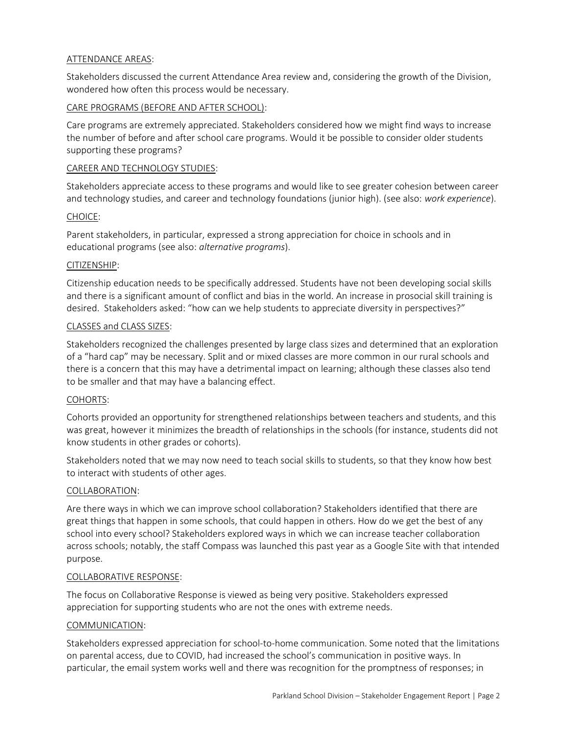### ATTENDANCE AREAS:

Stakeholders discussed the current Attendance Area review and, considering the growth of the Division, wondered how often this process would be necessary.

### CARE PROGRAMS (BEFORE AND AFTER SCHOOL):

Care programs are extremely appreciated. Stakeholders considered how we might find ways to increase the number of before and after school care programs. Would it be possible to consider older students supporting these programs?

### CAREER AND TECHNOLOGY STUDIES:

Stakeholders appreciate access to these programs and would like to see greater cohesion between career and technology studies, and career and technology foundations (junior high). (see also: *work experience*).

### CHOICE:

Parent stakeholders, in particular, expressed a strong appreciation for choice in schools and in educational programs (see also: *alternative programs*).

### CITIZENSHIP:

Citizenship education needs to be specifically addressed. Students have not been developing social skills and there is a significant amount of conflict and bias in the world. An increase in prosocial skill training is desired. Stakeholders asked: "how can we help students to appreciate diversity in perspectives?"

### CLASSES and CLASS SIZES:

Stakeholders recognized the challenges presented by large class sizes and determined that an exploration of a "hard cap" may be necessary. Split and or mixed classes are more common in our rural schools and there is a concern that this may have a detrimental impact on learning; although these classes also tend to be smaller and that may have a balancing effect.

### COHORTS:

Cohorts provided an opportunity for strengthened relationships between teachers and students, and this was great, however it minimizes the breadth of relationships in the schools (for instance, students did not know students in other grades or cohorts).

Stakeholders noted that we may now need to teach social skills to students, so that they know how best to interact with students of other ages.

### COLLABORATION:

Are there ways in which we can improve school collaboration? Stakeholders identified that there are great things that happen in some schools, that could happen in others. How do we get the best of any school into every school? Stakeholders explored ways in which we can increase teacher collaboration across schools; notably, the staff Compass was launched this past year as a Google Site with that intended purpose.

### COLLABORATIVE RESPONSE:

The focus on Collaborative Response is viewed as being very positive. Stakeholders expressed appreciation for supporting students who are not the ones with extreme needs.

### COMMUNICATION:

Stakeholders expressed appreciation for school-to-home communication. Some noted that the limitations on parental access, due to COVID, had increased the school's communication in positive ways. In particular, the email system works well and there was recognition for the promptness of responses; in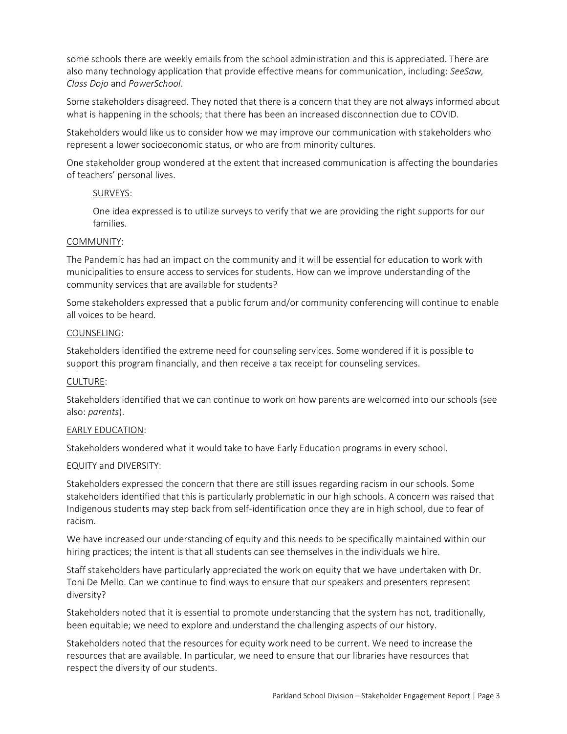some schools there are weekly emails from the school administration and this is appreciated. There are also many technology application that provide effective means for communication, including: *SeeSaw, Class Dojo* and *PowerSchool*.

Some stakeholders disagreed. They noted that there is a concern that they are not always informed about what is happening in the schools; that there has been an increased disconnection due to COVID.

Stakeholders would like us to consider how we may improve our communication with stakeholders who represent a lower socioeconomic status, or who are from minority cultures.

One stakeholder group wondered at the extent that increased communication is affecting the boundaries of teachers' personal lives.

### SURVEYS:

One idea expressed is to utilize surveys to verify that we are providing the right supports for our families.

#### COMMUNITY:

The Pandemic has had an impact on the community and it will be essential for education to work with municipalities to ensure access to services for students. How can we improve understanding of the community services that are available for students?

Some stakeholders expressed that a public forum and/or community conferencing will continue to enable all voices to be heard.

#### COUNSELING:

Stakeholders identified the extreme need for counseling services. Some wondered if it is possible to support this program financially, and then receive a tax receipt for counseling services.

#### CULTURE:

Stakeholders identified that we can continue to work on how parents are welcomed into our schools (see also: *parents*).

#### EARLY EDUCATION:

Stakeholders wondered what it would take to have Early Education programs in every school.

#### EQUITY and DIVERSITY:

Stakeholders expressed the concern that there are still issues regarding racism in our schools. Some stakeholders identified that this is particularly problematic in our high schools. A concern was raised that Indigenous students may step back from self-identification once they are in high school, due to fear of racism.

We have increased our understanding of equity and this needs to be specifically maintained within our hiring practices; the intent is that all students can see themselves in the individuals we hire.

Staff stakeholders have particularly appreciated the work on equity that we have undertaken with Dr. Toni De Mello. Can we continue to find ways to ensure that our speakers and presenters represent diversity?

Stakeholders noted that it is essential to promote understanding that the system has not, traditionally, been equitable; we need to explore and understand the challenging aspects of our history.

Stakeholders noted that the resources for equity work need to be current. We need to increase the resources that are available. In particular, we need to ensure that our libraries have resources that respect the diversity of our students.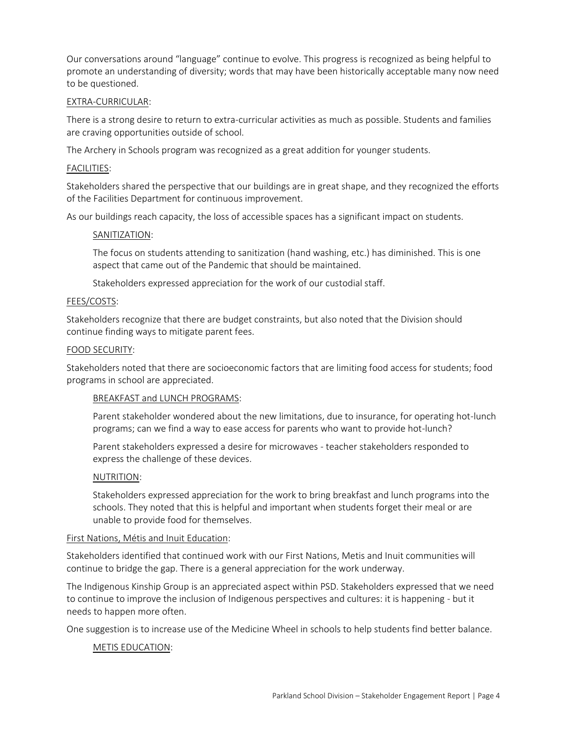Our conversations around "language" continue to evolve. This progress is recognized as being helpful to promote an understanding of diversity; words that may have been historically acceptable many now need to be questioned.

#### EXTRA-CURRICULAR:

There is a strong desire to return to extra-curricular activities as much as possible. Students and families are craving opportunities outside of school.

The Archery in Schools program was recognized as a great addition for younger students.

#### FACILITIES:

Stakeholders shared the perspective that our buildings are in great shape, and they recognized the efforts of the Facilities Department for continuous improvement.

As our buildings reach capacity, the loss of accessible spaces has a significant impact on students.

#### SANITIZATION:

The focus on students attending to sanitization (hand washing, etc.) has diminished. This is one aspect that came out of the Pandemic that should be maintained.

Stakeholders expressed appreciation for the work of our custodial staff.

#### FEES/COSTS:

Stakeholders recognize that there are budget constraints, but also noted that the Division should continue finding ways to mitigate parent fees.

#### FOOD SECURITY:

Stakeholders noted that there are socioeconomic factors that are limiting food access for students; food programs in school are appreciated.

#### BREAKFAST and LUNCH PROGRAMS:

Parent stakeholder wondered about the new limitations, due to insurance, for operating hot-lunch programs; can we find a way to ease access for parents who want to provide hot-lunch?

Parent stakeholders expressed a desire for microwaves - teacher stakeholders responded to express the challenge of these devices.

#### NUTRITION:

Stakeholders expressed appreciation for the work to bring breakfast and lunch programs into the schools. They noted that this is helpful and important when students forget their meal or are unable to provide food for themselves.

#### First Nations, Métis and Inuit Education:

Stakeholders identified that continued work with our First Nations, Metis and Inuit communities will continue to bridge the gap. There is a general appreciation for the work underway.

The Indigenous Kinship Group is an appreciated aspect within PSD. Stakeholders expressed that we need to continue to improve the inclusion of Indigenous perspectives and cultures: it is happening - but it needs to happen more often.

One suggestion is to increase use of the Medicine Wheel in schools to help students find better balance.

### METIS EDUCATION: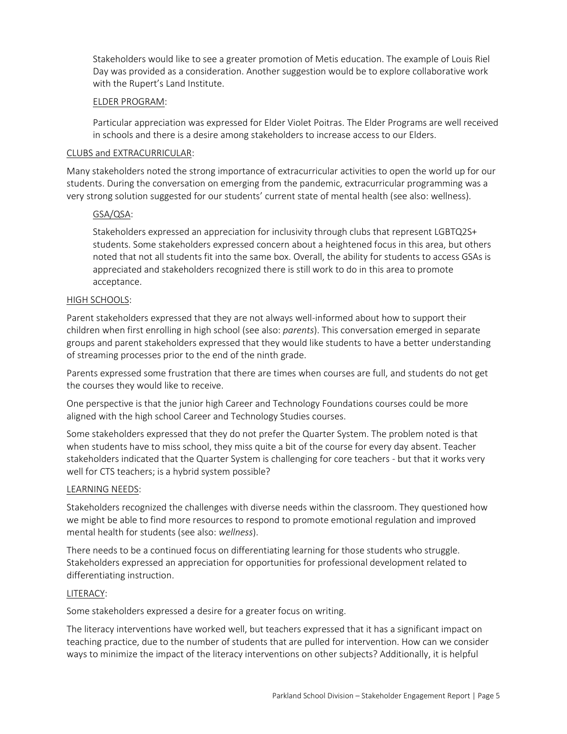Stakeholders would like to see a greater promotion of Metis education. The example of Louis Riel Day was provided as a consideration. Another suggestion would be to explore collaborative work with the Rupert's Land Institute.

### ELDER PROGRAM:

Particular appreciation was expressed for Elder Violet Poitras. The Elder Programs are well received in schools and there is a desire among stakeholders to increase access to our Elders.

### CLUBS and EXTRACURRICULAR:

Many stakeholders noted the strong importance of extracurricular activities to open the world up for our students. During the conversation on emerging from the pandemic, extracurricular programming was a very strong solution suggested for our students' current state of mental health (see also: wellness).

## GSA/QSA:

Stakeholders expressed an appreciation for inclusivity through clubs that represent LGBTQ2S+ students. Some stakeholders expressed concern about a heightened focus in this area, but others noted that not all students fit into the same box. Overall, the ability for students to access GSAs is appreciated and stakeholders recognized there is still work to do in this area to promote acceptance.

### HIGH SCHOOLS:

Parent stakeholders expressed that they are not always well-informed about how to support their children when first enrolling in high school (see also: *parents*). This conversation emerged in separate groups and parent stakeholders expressed that they would like students to have a better understanding of streaming processes prior to the end of the ninth grade.

Parents expressed some frustration that there are times when courses are full, and students do not get the courses they would like to receive.

One perspective is that the junior high Career and Technology Foundations courses could be more aligned with the high school Career and Technology Studies courses.

Some stakeholders expressed that they do not prefer the Quarter System. The problem noted is that when students have to miss school, they miss quite a bit of the course for every day absent. Teacher stakeholders indicated that the Quarter System is challenging for core teachers - but that it works very well for CTS teachers; is a hybrid system possible?

### LEARNING NEEDS:

Stakeholders recognized the challenges with diverse needs within the classroom. They questioned how we might be able to find more resources to respond to promote emotional regulation and improved mental health for students (see also: *wellness*).

There needs to be a continued focus on differentiating learning for those students who struggle. Stakeholders expressed an appreciation for opportunities for professional development related to differentiating instruction.

### LITERACY:

Some stakeholders expressed a desire for a greater focus on writing.

The literacy interventions have worked well, but teachers expressed that it has a significant impact on teaching practice, due to the number of students that are pulled for intervention. How can we consider ways to minimize the impact of the literacy interventions on other subjects? Additionally, it is helpful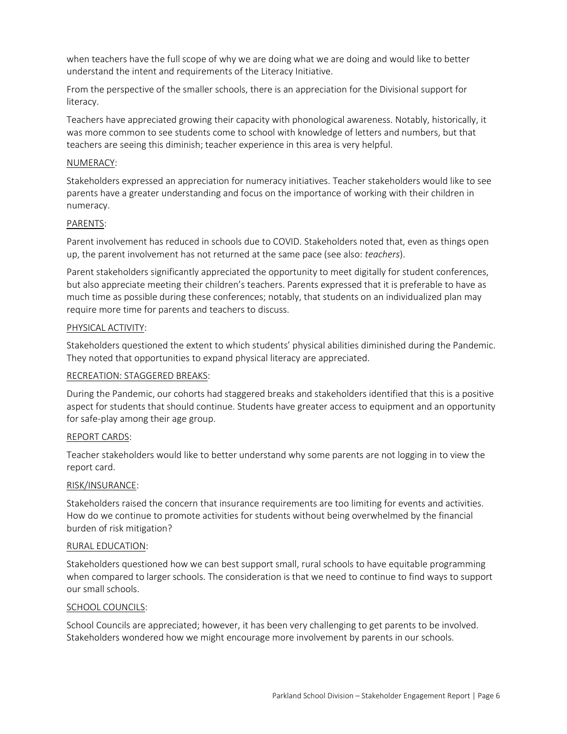when teachers have the full scope of why we are doing what we are doing and would like to better understand the intent and requirements of the Literacy Initiative.

From the perspective of the smaller schools, there is an appreciation for the Divisional support for literacy.

Teachers have appreciated growing their capacity with phonological awareness. Notably, historically, it was more common to see students come to school with knowledge of letters and numbers, but that teachers are seeing this diminish; teacher experience in this area is very helpful.

#### NUMERACY:

Stakeholders expressed an appreciation for numeracy initiatives. Teacher stakeholders would like to see parents have a greater understanding and focus on the importance of working with their children in numeracy.

#### PARENTS:

Parent involvement has reduced in schools due to COVID. Stakeholders noted that, even as things open up, the parent involvement has not returned at the same pace (see also: *teachers*).

Parent stakeholders significantly appreciated the opportunity to meet digitally for student conferences, but also appreciate meeting their children's teachers. Parents expressed that it is preferable to have as much time as possible during these conferences; notably, that students on an individualized plan may require more time for parents and teachers to discuss.

#### PHYSICAL ACTIVITY:

Stakeholders questioned the extent to which students' physical abilities diminished during the Pandemic. They noted that opportunities to expand physical literacy are appreciated.

### RECREATION: STAGGERED BREAKS:

During the Pandemic, our cohorts had staggered breaks and stakeholders identified that this is a positive aspect for students that should continue. Students have greater access to equipment and an opportunity for safe-play among their age group.

### REPORT CARDS:

Teacher stakeholders would like to better understand why some parents are not logging in to view the report card.

### RISK/INSURANCE:

Stakeholders raised the concern that insurance requirements are too limiting for events and activities. How do we continue to promote activities for students without being overwhelmed by the financial burden of risk mitigation?

### RURAL EDUCATION:

Stakeholders questioned how we can best support small, rural schools to have equitable programming when compared to larger schools. The consideration is that we need to continue to find ways to support our small schools.

### SCHOOL COUNCILS:

School Councils are appreciated; however, it has been very challenging to get parents to be involved. Stakeholders wondered how we might encourage more involvement by parents in our schools.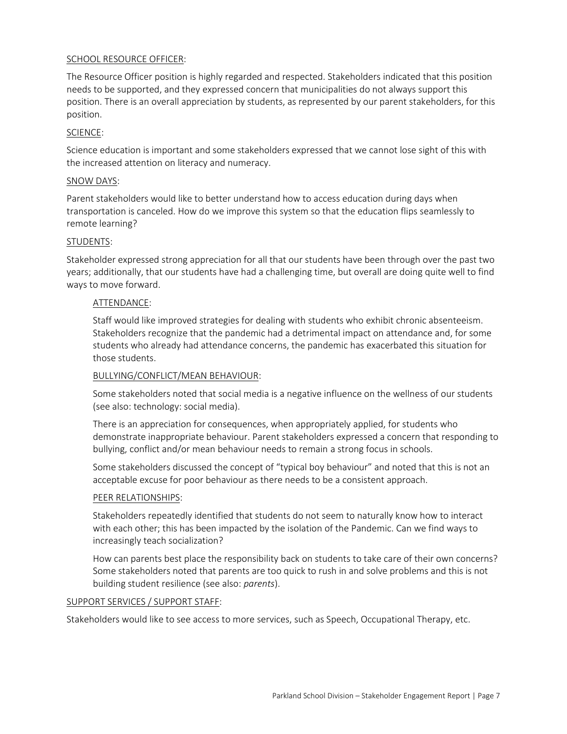### SCHOOL RESOURCE OFFICER:

The Resource Officer position is highly regarded and respected. Stakeholders indicated that this position needs to be supported, and they expressed concern that municipalities do not always support this position. There is an overall appreciation by students, as represented by our parent stakeholders, for this position.

### SCIENCE:

Science education is important and some stakeholders expressed that we cannot lose sight of this with the increased attention on literacy and numeracy.

#### SNOW DAYS:

Parent stakeholders would like to better understand how to access education during days when transportation is canceled. How do we improve this system so that the education flips seamlessly to remote learning?

#### STUDENTS:

Stakeholder expressed strong appreciation for all that our students have been through over the past two years; additionally, that our students have had a challenging time, but overall are doing quite well to find ways to move forward.

#### ATTENDANCE:

Staff would like improved strategies for dealing with students who exhibit chronic absenteeism. Stakeholders recognize that the pandemic had a detrimental impact on attendance and, for some students who already had attendance concerns, the pandemic has exacerbated this situation for those students.

#### BULLYING/CONFLICT/MEAN BEHAVIOUR:

Some stakeholders noted that social media is a negative influence on the wellness of our students (see also: technology: social media).

There is an appreciation for consequences, when appropriately applied, for students who demonstrate inappropriate behaviour. Parent stakeholders expressed a concern that responding to bullying, conflict and/or mean behaviour needs to remain a strong focus in schools.

Some stakeholders discussed the concept of "typical boy behaviour" and noted that this is not an acceptable excuse for poor behaviour as there needs to be a consistent approach.

### PEER RELATIONSHIPS:

Stakeholders repeatedly identified that students do not seem to naturally know how to interact with each other; this has been impacted by the isolation of the Pandemic. Can we find ways to increasingly teach socialization?

How can parents best place the responsibility back on students to take care of their own concerns? Some stakeholders noted that parents are too quick to rush in and solve problems and this is not building student resilience (see also: *parents*).

#### SUPPORT SERVICES / SUPPORT STAFF:

Stakeholders would like to see access to more services, such as Speech, Occupational Therapy, etc.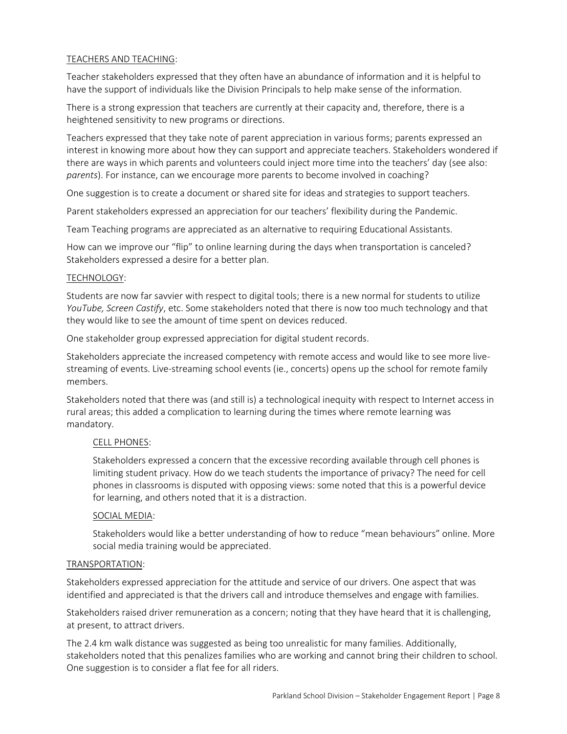### TEACHERS AND TEACHING:

Teacher stakeholders expressed that they often have an abundance of information and it is helpful to have the support of individuals like the Division Principals to help make sense of the information.

There is a strong expression that teachers are currently at their capacity and, therefore, there is a heightened sensitivity to new programs or directions.

Teachers expressed that they take note of parent appreciation in various forms; parents expressed an interest in knowing more about how they can support and appreciate teachers. Stakeholders wondered if there are ways in which parents and volunteers could inject more time into the teachers' day (see also: *parents*). For instance, can we encourage more parents to become involved in coaching?

One suggestion is to create a document or shared site for ideas and strategies to support teachers.

Parent stakeholders expressed an appreciation for our teachers' flexibility during the Pandemic.

Team Teaching programs are appreciated as an alternative to requiring Educational Assistants.

How can we improve our "flip" to online learning during the days when transportation is canceled? Stakeholders expressed a desire for a better plan.

#### TECHNOLOGY:

Students are now far savvier with respect to digital tools; there is a new normal for students to utilize *YouTube, Screen Castify*, etc. Some stakeholders noted that there is now too much technology and that they would like to see the amount of time spent on devices reduced.

One stakeholder group expressed appreciation for digital student records.

Stakeholders appreciate the increased competency with remote access and would like to see more livestreaming of events. Live-streaming school events (ie., concerts) opens up the school for remote family members.

Stakeholders noted that there was (and still is) a technological inequity with respect to Internet access in rural areas; this added a complication to learning during the times where remote learning was mandatory.

### CELL PHONES:

Stakeholders expressed a concern that the excessive recording available through cell phones is limiting student privacy. How do we teach students the importance of privacy? The need for cell phones in classrooms is disputed with opposing views: some noted that this is a powerful device for learning, and others noted that it is a distraction.

### SOCIAL MEDIA:

Stakeholders would like a better understanding of how to reduce "mean behaviours" online. More social media training would be appreciated.

### TRANSPORTATION:

Stakeholders expressed appreciation for the attitude and service of our drivers. One aspect that was identified and appreciated is that the drivers call and introduce themselves and engage with families.

Stakeholders raised driver remuneration as a concern; noting that they have heard that it is challenging, at present, to attract drivers.

The 2.4 km walk distance was suggested as being too unrealistic for many families. Additionally, stakeholders noted that this penalizes families who are working and cannot bring their children to school. One suggestion is to consider a flat fee for all riders.